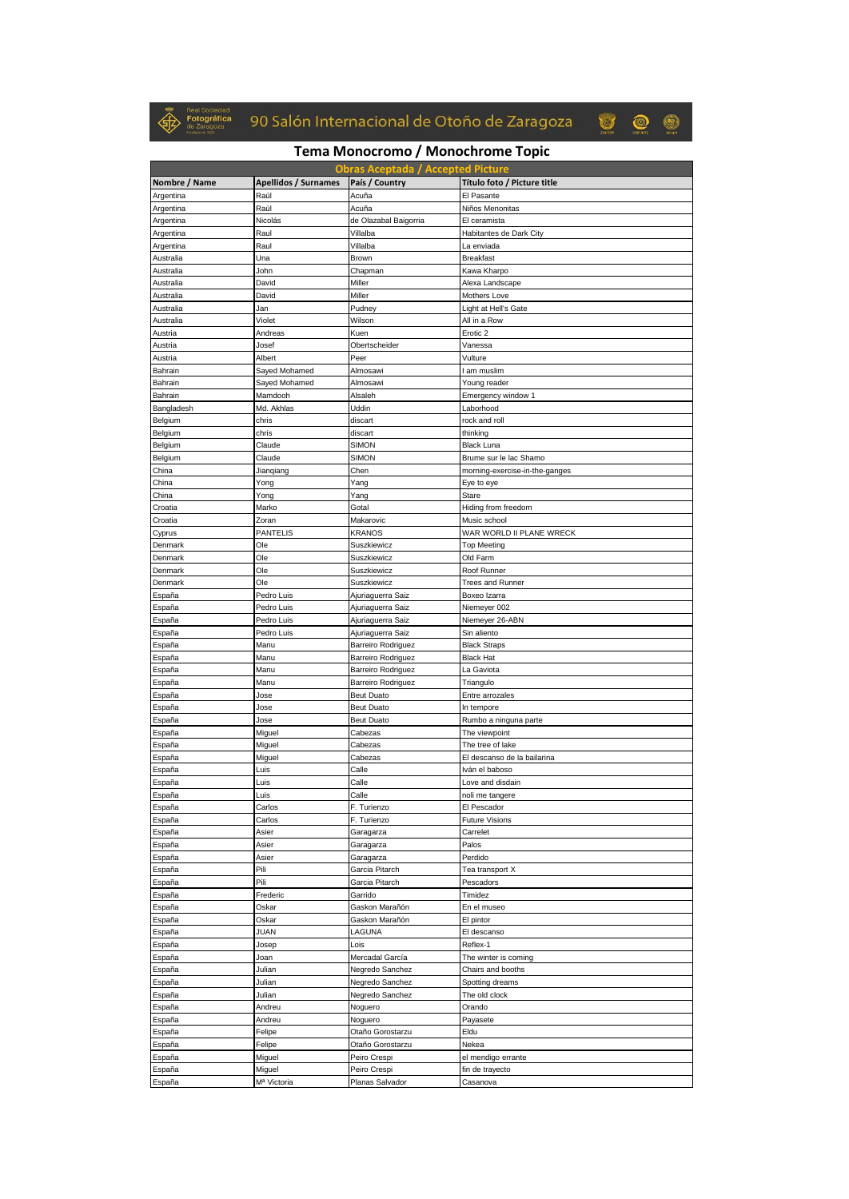

## 90 Salón Internacional de Otoño de Zaragoza



## **Tema Monocromo / Monochrome Topic**

|                        |                             | <b>Obras Aceptada / Accepted Picture</b> |                                         |
|------------------------|-----------------------------|------------------------------------------|-----------------------------------------|
| Nombre / Name          | <b>Apellidos / Surnames</b> | País / Country                           | Título foto / Picture title             |
| Argentina              | Raúl                        | Acuña                                    | El Pasante                              |
| Argentina              | Raúl                        | Acuña                                    | Niños Menonitas                         |
| Argentina              | Nicolás                     | de Olazabal Baigorria                    | El ceramista                            |
| Argentina              | Raul                        | Villalba                                 | Habitantes de Dark City                 |
| Argentina              | Raul                        | Villalba                                 | La enviada                              |
| Australia<br>Australia | Una<br>John                 | Brown<br>Chapman                         | <b>Breakfast</b><br>Kawa Kharpo         |
| Australia              | David                       | Miller                                   | Alexa Landscape                         |
| Australia              | David                       | Miller                                   | Mothers Love                            |
| Australia              | Jan                         | Pudney                                   | Light at Hell's Gate                    |
| Australia              | Violet                      | Wilson                                   | All in a Row                            |
| Austria                | Andreas                     | Kuen                                     | Erotic 2                                |
| Austria                | Josef                       | Obertscheider                            | Vanessa                                 |
| Austria                | Albert                      | Peer                                     | Vulture                                 |
| Bahrain                | Sayed Mohamed               | Almosawi                                 | l am muslim                             |
| Bahrain                | Sayed Mohamed               | Almosawi                                 | Young reader                            |
| Bahrain                | Mamdooh                     | Alsaleh                                  | Emergency window 1                      |
| Bangladesh             | Md. Akhlas                  | Uddin                                    | Laborhood                               |
| Belgium<br>Belgium     | chris<br>chris              | discart<br>discart                       | rock and roll<br>thinking               |
| Belgium                | Claude                      | <b>SIMON</b>                             | <b>Black Luna</b>                       |
| Belgium                | Claude                      | SIMON                                    | Brume sur le lac Shamo                  |
| China                  | Jianqiang                   | Chen                                     | morning-exercise-in-the-ganges          |
| China                  | Yong                        | Yang                                     | Eye to eye                              |
| China                  | Yong                        | Yang                                     | Stare                                   |
| Croatia                | Marko                       | Gotal                                    | Hiding from freedom                     |
| Croatia                | Zoran                       | Makarovic                                | Music school                            |
| Cyprus                 | <b>PANTELIS</b>             | <b>KRANOS</b>                            | WAR WORLD II PLANE WRECK                |
| Denmark                | Ole                         | Suszkiewicz                              | <b>Top Meeting</b>                      |
| Denmark                | Ole                         | Suszkiewicz                              | Old Farm                                |
| Denmark                | Ole                         | Suszkiewicz                              | Roof Runner                             |
| Denmark<br>España      | Ole<br>Pedro Luis           | Suszkiewicz<br>Ajuriaguerra Saiz         | <b>Trees and Runner</b><br>Boxeo Izarra |
| España                 | Pedro Luis                  | Ajuriaguerra Saiz                        | Niemeyer 002                            |
| España                 | Pedro Luis                  | Ajuriaguerra Saiz                        | Niemeyer 26-ABN                         |
| España                 | Pedro Luis                  | Ajuriaguerra Saiz                        | Sin aliento                             |
| España                 | Manu                        | <b>Barreiro Rodriguez</b>                | <b>Black Straps</b>                     |
| España                 | Manu                        | Barreiro Rodriguez                       | <b>Black Hat</b>                        |
| España                 | Manu                        | Barreiro Rodriguez                       | La Gaviota                              |
| España                 | Manu                        | Barreiro Rodriguez                       | Triangulo                               |
| España                 | Jose                        | <b>Beut Duato</b>                        | Entre arrozales                         |
| España                 | Jose                        | <b>Beut Duato</b>                        | In tempore                              |
| España<br>España       | Jose<br>Miguel              | <b>Beut Duato</b><br>Cabezas             | Rumbo a ninguna parte<br>The viewpoint  |
| España                 | Miguel                      | Cabezas                                  | The tree of lake                        |
| España                 | Miguel                      | Cabezas                                  | El descanso de la bailarina             |
| España                 | Luis                        | Calle                                    | Iván el baboso                          |
| España                 | Luis                        | Calle                                    | Love and disdain                        |
| España                 | Luis                        | Calle                                    | noli me tangere                         |
| España                 | Carlos                      | F. Turienzo                              | El Pescador                             |
| España                 | Carlos                      | F. Turienzo                              | <b>Future Visions</b>                   |
| España                 | Asier                       | Garagarza                                | Carrelet                                |
| España                 | Asier                       | Garagarza                                | Palos                                   |
| España                 | Asier                       | Garagarza                                | Perdido                                 |
| España                 | Pili                        | Garcia Pitarch                           | Tea transport X                         |
| España<br>España       | Pili<br>Frederic            | Garcia Pitarch<br>Garrido                | Pescadors<br>Timidez                    |
| España                 | Oskar                       | Gaskon Marañón                           | En el museo                             |
| España                 | Oskar                       | Gaskon Marañón                           | El pintor                               |
| España                 | JUAN                        | LAGUNA                                   | El descanso                             |
| España                 | Josep                       | Lois                                     | Reflex-1                                |
| España                 | Joan                        | Mercadal García                          | The winter is coming                    |
| España                 | Julian                      | Negredo Sanchez                          | Chairs and booths                       |
| España                 | Julian                      | Negredo Sanchez                          | Spotting dreams                         |
| España                 | Julian                      | Negredo Sanchez                          | The old clock                           |
| España                 | Andreu                      | Noguero                                  | Orando                                  |
| España                 | Andreu                      | Noguero                                  | Payasete                                |
| España                 | Felipe                      | Otaño Gorostarzu                         | Eldu                                    |
| España                 | Felipe                      | Otaño Gorostarzu                         | Nekea                                   |
| España<br>España       | Miguel<br>Miguel            | Peiro Crespi<br>Peiro Crespi             | el mendigo errante<br>fin de trayecto   |
| España                 | M <sup>a</sup> Victoria     | Planas Salvador                          | Casanova                                |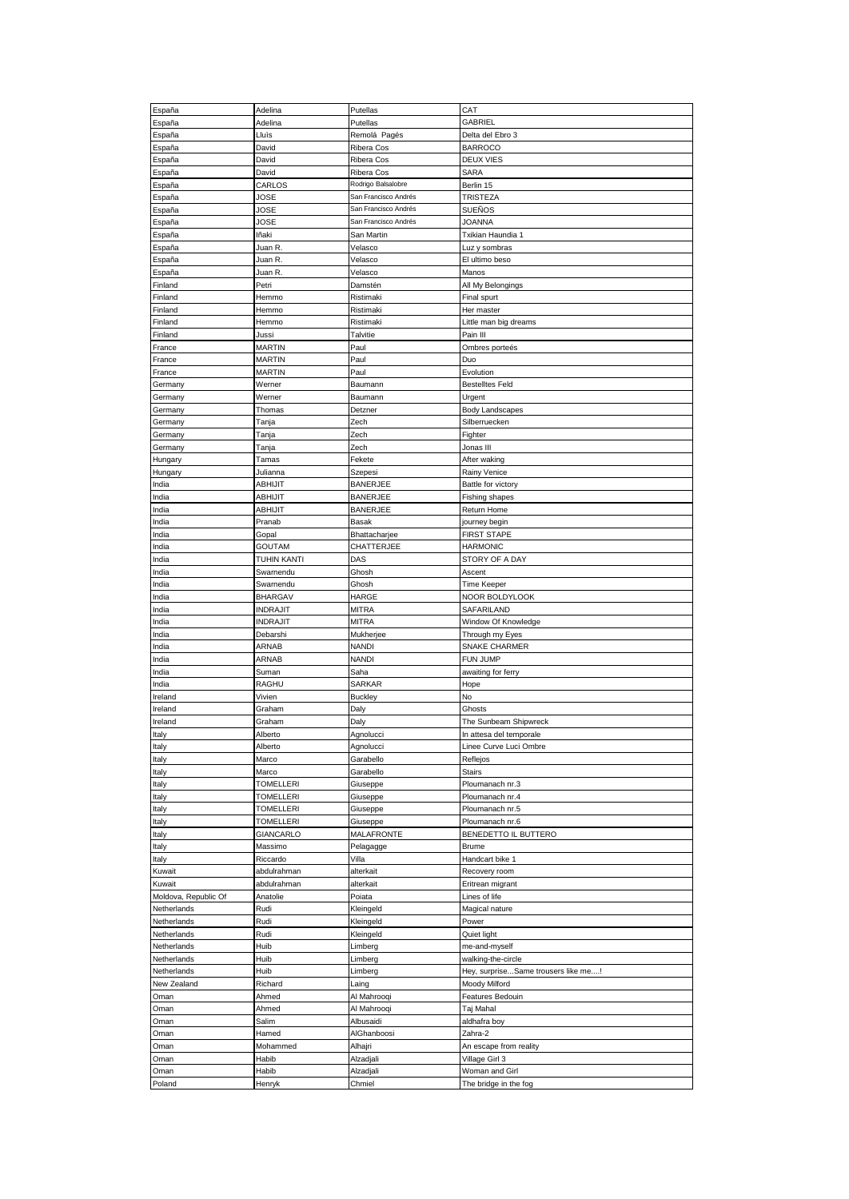| España               | Adelina          | Putellas             | CAT                                     |
|----------------------|------------------|----------------------|-----------------------------------------|
| España               | Adelina          | Putellas             | GABRIEL                                 |
| España               | Lluìs            | Remolá Pagés         | Delta del Ebro 3                        |
|                      |                  |                      |                                         |
| España               | David            | Ribera Cos           | <b>BARROCO</b>                          |
| España               | David            | Ribera Cos           | DEUX VIES                               |
| España               | David            | Ribera Cos           | SARA                                    |
| España               | CARLOS           | Rodrigo Balsalobre   | Berlin 15                               |
| España               | JOSE             | San Francisco Andrés | TRISTEZA                                |
| España               | JOSE             | San Francisco Andrés | SUENOS                                  |
| España               | JOSE             | San Francisco Andrés | JOANNA                                  |
| España               | lñaki            | San Martin           | Txikian Haundia 1                       |
| España               | Juan R.          | Velasco              | Luz y sombras                           |
| España               | Juan R.          | Velasco              | El ultimo beso                          |
| España               | Juan R.          | Velasco              | Manos                                   |
| Finland              | Petri            | Damstén              |                                         |
|                      |                  |                      | All My Belongings                       |
| Finland              | Hemmo            | Ristimaki            | Final spurt                             |
| Finland              | Hemmo            | Ristimaki            | Her master                              |
| Finland              | Hemmo            | Ristimaki            | Little man big dreams                   |
| Finland              | Jussi            | Talvitie             | Pain III                                |
| France               | <b>MARTIN</b>    | Paul                 | Ombres porteés                          |
| France               | <b>MARTIN</b>    | Paul                 | Duo                                     |
| France               | <b>MARTIN</b>    | Paul                 | Evolution                               |
| Germany              | Werner           | Baumann              | <b>Bestelltes Feld</b>                  |
| Germany              | Werner           | Baumann              | Urgent                                  |
| Germany              | Thomas           | Detzner              | Body Landscapes                         |
| Germany              | Tanja            | Zech                 | Silberruecken                           |
|                      |                  | Zech                 | Fighter                                 |
| Germany              | Tanja            |                      |                                         |
| Germany              | Tanja            | Zech                 | Jonas III                               |
| Hungary              | Tamas            | Fekete               | After waking                            |
| Hungary              | Julianna         | Szepesi              | Rainy Venice                            |
| India                | ABHIJIT          | <b>BANERJEE</b>      | Battle for victory                      |
| India                | <b>ABHIJIT</b>   | <b>BANERJEE</b>      | Fishing shapes                          |
| India                | <b>ABHIJIT</b>   | <b>BANERJEE</b>      | <b>Return Home</b>                      |
| India                | Pranab           | Basak                | journey begin                           |
| India                | Gopal            | Bhattacharjee        | FIRST STAPE                             |
| India                | GOUTAM           | CHATTERJEE           | HARMONIC                                |
| India                | TUHIN KANTI      | DAS                  | STORY OF A DAY                          |
| India                | Swarnendu        | Ghosh                | Ascent                                  |
|                      |                  |                      |                                         |
| India                | Swarnendu        | Ghosh                | <b>Time Keeper</b>                      |
| India                | <b>BHARGAV</b>   | HARGE                | NOOR BOLDYLOOK                          |
| India                | <b>INDRAJIT</b>  | <b>MITRA</b>         | SAFARILAND                              |
| India                | <b>INDRAJIT</b>  | <b>MITRA</b>         | Window Of Knowledge                     |
| India                | Debarshi         | Mukherjee            | Through my Eyes                         |
| India                | ARNAB            | <b>NANDI</b>         | <b>SNAKE CHARMER</b>                    |
| India                | ARNAB            | <b>NANDI</b>         | FUN JUMP                                |
|                      |                  |                      |                                         |
| India                | Suman            | Saha                 | awaiting for ferry                      |
| India                | RAGHU            | SARKAR               | Hope                                    |
| Ireland              | Vivien           | <b>Buckley</b>       | No                                      |
|                      |                  |                      |                                         |
| Ireland              | Graham           | Daly                 | Ghosts                                  |
| Ireland              | Graham           | Daly                 | The Sunbeam Shipwreck                   |
| Italy                | Alberto          | Agnolucci            | In attesa del temporale                 |
| Italy                | Alberto          | Agnolucci            | Linee Curve Luci Ombre                  |
| Italy                | Marco            | Garabello            | Reflejos                                |
| Italy                | Marco            | Garabello            | <b>Stairs</b>                           |
| Italy                | <b>TOMELLERI</b> | Giuseppe             | Ploumanach nr.3                         |
| Italy                | <b>TOMELLERI</b> | Giuseppe             | Ploumanach nr.4                         |
| Italy                | <b>TOMELLERI</b> | Giuseppe             | Ploumanach nr.5                         |
| Italy                | <b>TOMELLERI</b> | Giuseppe             | Ploumanach nr.6                         |
| Italy                | <b>GIANCARLO</b> | MALAFRONTE           | BENEDETTO IL BUTTERO                    |
| Italy                | Massimo          | Pelagagge            | <b>Brume</b>                            |
| Italy                | Riccardo         | Villa                | Handcart bike 1                         |
|                      |                  |                      |                                         |
| Kuwait               | abdulrahman      | alterkait            | Recovery room                           |
| Kuwait               | abdulrahman      | alterkait            | Eritrean migrant                        |
| Moldova, Republic Of | Anatolie         | Poiata               | Lines of life                           |
| Netherlands          | Rudi             | Kleingeld            | Magical nature                          |
| Netherlands          | Rudi             | Kleingeld            | Power                                   |
| Netherlands          | Rudi             | Kleingeld            | Quiet light                             |
| Netherlands          | Huib             | Limberg              | me-and-myself                           |
| Netherlands          | Huib             | Limberg              | walking-the-circle                      |
| Netherlands          | Huib             | Limberg              | Hey, surpriseSame trousers like me!     |
| New Zealand          | Richard          | Laing                | Moody Milford                           |
| Oman                 | Ahmed            | Al Mahrooqi          | Features Bedouin                        |
| Oman                 | Ahmed            | Al Mahrooqi          | Taj Mahal                               |
| Oman                 | Salim            | Albusaidi            | aldhafra boy                            |
|                      | Hamed            |                      | Zahra-2                                 |
| Oman                 |                  | AlGhanboosi          |                                         |
| Oman                 | Mohammed         | Alhajri              | An escape from reality                  |
| Oman                 | Habib            | Alzadjali            | Village Girl 3                          |
| Oman<br>Poland       | Habib<br>Henryk  | Alzadjali<br>Chmiel  | Woman and Girl<br>The bridge in the fog |